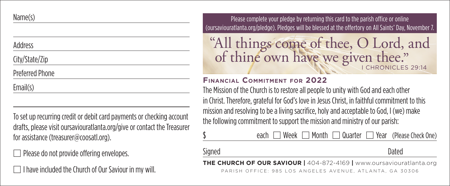## Name(s)

#### Address

# City/State/Zip

# Preferred Phone

Email(s)

To set up recurring credit or debit card payments or checking account drafts, please visit oursaviouratlanta.org/give or contact the Treasurer for assistance (treasurer@coosatl.org).

Please do not provide offering envelopes.

□ I have included the Church of Our Saviour in my will.

Please complete your pledge by returning this card to the parish office or online (oursaviouratlanta.org/pledge). Pledges will be blessed at the offertory on All Saints' Day, November 7.

"All things come of thee, O Lord, and I CHRONICLES 29:14 of thine own have we given thee."

## **Financial Commitment for 2022**

The Mission of the Church is to restore all people to unity with God and each other in Christ. Therefore, grateful for God's love in Jesus Christ, in faithful commitment to this mission and resolving to be a living sacrifice, holy and acceptable to God, I (we) make the following commitment to support the mission and ministry of our parish:

|--|

Signed **Dated** 

**THE CHURCH OF OUR SAVIOUR |** 404-872-4169 **|** www.oursaviouratlanta.org PARISH OFFICE: 985 LOS ANGELES AVENUE, ATLANTA, GA 30306